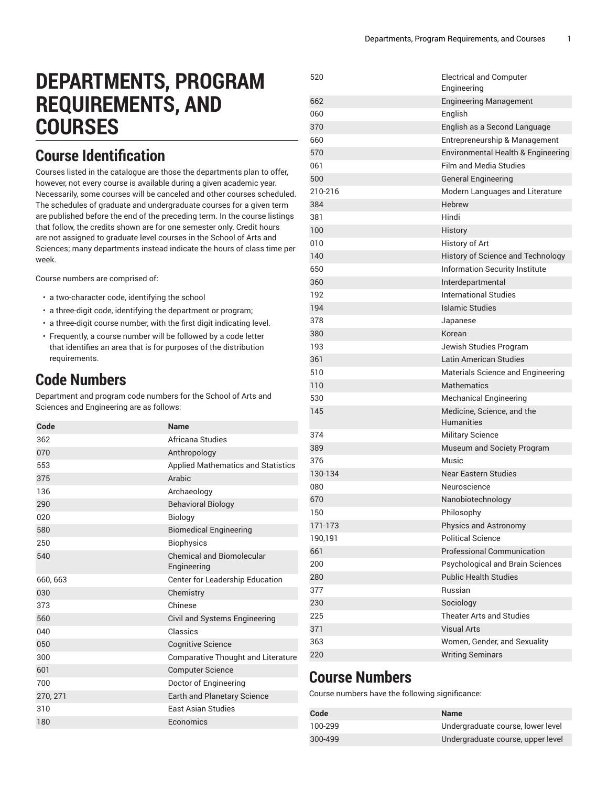# **DEPARTMENTS, PROGRAM REQUIREMENTS, AND COURSES**

#### **Course Identification**

Courses listed in the catalogue are those the departments plan to offer, however, not every course is available during a given academic year. Necessarily, some courses will be canceled and other courses scheduled. The schedules of graduate and undergraduate courses for a given term are published before the end of the preceding term. In the course listings that follow, the credits shown are for one semester only. Credit hours are not assigned to graduate level courses in the School of Arts and Sciences; many departments instead indicate the hours of class time per week.

Course numbers are comprised of:

- a two-character code, identifying the school
- a three-digit code, identifying the department or program;
- a three-digit course number, with the first digit indicating level.
- Frequently, a course number will be followed by a code letter that identifies an area that is for purposes of the distribution requirements.

#### **Code Numbers**

Department and program code numbers for the School of Arts and Sciences and Engineering are as follows:

| Code     | <b>Name</b>                               |
|----------|-------------------------------------------|
| 362      | Africana Studies                          |
| 070      | Anthropology                              |
| 553      | <b>Applied Mathematics and Statistics</b> |
| 375      | Arabic                                    |
| 136      | Archaeology                               |
| 290      | <b>Behavioral Biology</b>                 |
| 020      | <b>Biology</b>                            |
| 580      | <b>Biomedical Engineering</b>             |
| 250      | <b>Biophysics</b>                         |
| 540      | Chemical and Biomolecular<br>Engineering  |
| 660, 663 | Center for Leadership Education           |
| 030      | Chemistry                                 |
| 373      | Chinese                                   |
| 560      | Civil and Systems Engineering             |
| 040      | Classics                                  |
| 050      | <b>Cognitive Science</b>                  |
| 300      | <b>Comparative Thought and Literature</b> |
| 601      | <b>Computer Science</b>                   |
| 700      | Doctor of Engineering                     |
| 270, 271 | <b>Earth and Planetary Science</b>        |
| 310      | <b>Fast Asian Studies</b>                 |
| 180      | Economics                                 |

| 520     | <b>Electrical and Computer</b><br>Engineering |
|---------|-----------------------------------------------|
| 662     | <b>Engineering Management</b>                 |
| 060     | English                                       |
| 370     | English as a Second Language                  |
| 660     | Entrepreneurship & Management                 |
| 570     | Environmental Health & Engineering            |
| 061     | <b>Film and Media Studies</b>                 |
| 500     | <b>General Engineering</b>                    |
| 210-216 | Modern Languages and Literature               |
| 384     | Hebrew                                        |
| 381     | Hindi                                         |
| 100     | History                                       |
| 010     | History of Art                                |
| 140     | History of Science and Technology             |
| 650     | Information Security Institute                |
| 360     | Interdepartmental                             |
| 192     | International Studies                         |
| 194     | Islamic Studies                               |
| 378     | Japanese                                      |
| 380     | Korean                                        |
| 193     | Jewish Studies Program                        |
| 361     | Latin American Studies                        |
| 510     | Materials Science and Engineering             |
| 110     | <b>Mathematics</b>                            |
| 530     | <b>Mechanical Engineering</b>                 |
| 145     | Medicine, Science, and the                    |
|         | <b>Humanities</b>                             |
| 374     | <b>Military Science</b>                       |
| 389     | Museum and Society Program                    |
| 376     | Music                                         |
| 130-134 | <b>Near Eastern Studies</b>                   |
| 080     | Neuroscience                                  |
| 670     | Nanobiotechnology                             |
| 150     | Philosophy                                    |
| 171-173 | Physics and Astronomy                         |
| 190,191 | <b>Political Science</b>                      |
| 661     | <b>Professional Communication</b>             |
| 200     | Psychological and Brain Sciences              |
| 280     | <b>Public Health Studies</b>                  |
| 377     | Russian                                       |
| 230     | Sociology                                     |
| 225     | <b>Theater Arts and Studies</b>               |
| 371     | <b>Visual Arts</b>                            |
| 363     | Women, Gender, and Sexuality                  |
| 220     | <b>Writing Seminars</b>                       |

### **Course Numbers**

Course numbers have the following significance:

| Code    | <b>Name</b>                       |
|---------|-----------------------------------|
| 100-299 | Undergraduate course, lower level |
| 300-499 | Undergraduate course, upper level |